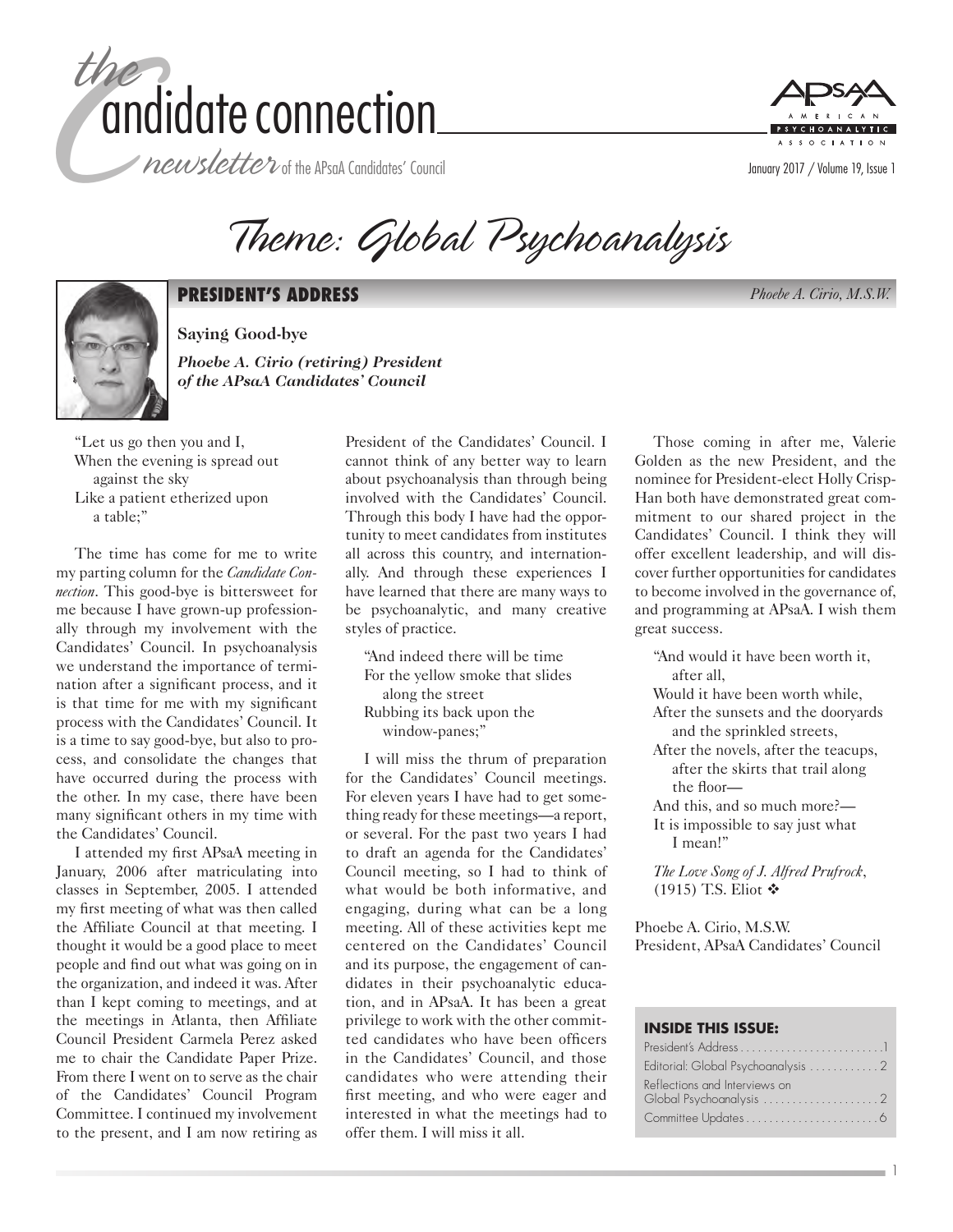



Theme: Global Psychoanalysis



#### **PRESIDENT'S ADDRESS** *Phoebe A. Cirio, M.S.W.*

**Saying Good-bye** *Phoebe A. Cirio (retiring) President of the APsaA Candidates' Council*

"Let us go then you and I, When the evening is spread out against the sky Like a patient etherized upon a table;"

The time has come for me to write my parting column for the *Candidate Connection*. This good-bye is bittersweet for me because I have grown-up professionally through my involvement with the Candidates' Council. In psychoanalysis we understand the importance of termination after a significant process, and it is that time for me with my significant process with the Candidates' Council. It is a time to say good-bye, but also to process, and consolidate the changes that have occurred during the process with the other. In my case, there have been many significant others in my time with the Candidates' Council.

I attended my first APsaA meeting in January, 2006 after matriculating into classes in September, 2005. I attended my first meeting of what was then called the Affiliate Council at that meeting. I thought it would be a good place to meet people and find out what was going on in the organization, and indeed it was. After than I kept coming to meetings, and at the meetings in Atlanta, then Affiliate Council President Carmela Perez asked me to chair the Candidate Paper Prize. From there I went on to serve as the chair of the Candidates' Council Program Committee. I continued my involvement to the present, and I am now retiring as

President of the Candidates' Council. I cannot think of any better way to learn about psychoanalysis than through being involved with the Candidates' Council. Through this body I have had the opportunity to meet candidates from institutes all across this country, and internationally. And through these experiences I have learned that there are many ways to be psychoanalytic, and many creative styles of practice.

"And indeed there will be time For the yellow smoke that slides along the street Rubbing its back upon the window-panes;"

I will miss the thrum of preparation for the Candidates' Council meetings. For eleven years I have had to get something ready for these meetings—a report, or several. For the past two years I had to draft an agenda for the Candidates' Council meeting, so I had to think of what would be both informative, and engaging, during what can be a long meeting. All of these activities kept me centered on the Candidates' Council and its purpose, the engagement of candidates in their psychoanalytic education, and in APsaA. It has been a great privilege to work with the other committed candidates who have been officers in the Candidates' Council, and those candidates who were attending their first meeting, and who were eager and interested in what the meetings had to offer them. I will miss it all.

Those coming in after me, Valerie Golden as the new President, and the nominee for President-elect Holly Crisp-Han both have demonstrated great commitment to our shared project in the Candidates' Council. I think they will offer excellent leadership, and will discover further opportunities for candidates to become involved in the governance of, and programming at APsaA. I wish them great success.

"And would it have been worth it, after all,

Would it have been worth while, After the sunsets and the dooryards and the sprinkled streets,

- After the novels, after the teacups, after the skirts that trail along the floor—
- And this, and so much more?—
- It is impossible to say just what I mean!"

*The Love Song of J. Alfred Prufrock*, (1915) T.S. Eliot  $\triangleleft$ 

Phoebe A. Cirio, M.S.W. President, APsaA Candidates' Council

#### **INSIDE THIS ISSUE:**

| Reflections and Interviews on |
|-------------------------------|
|                               |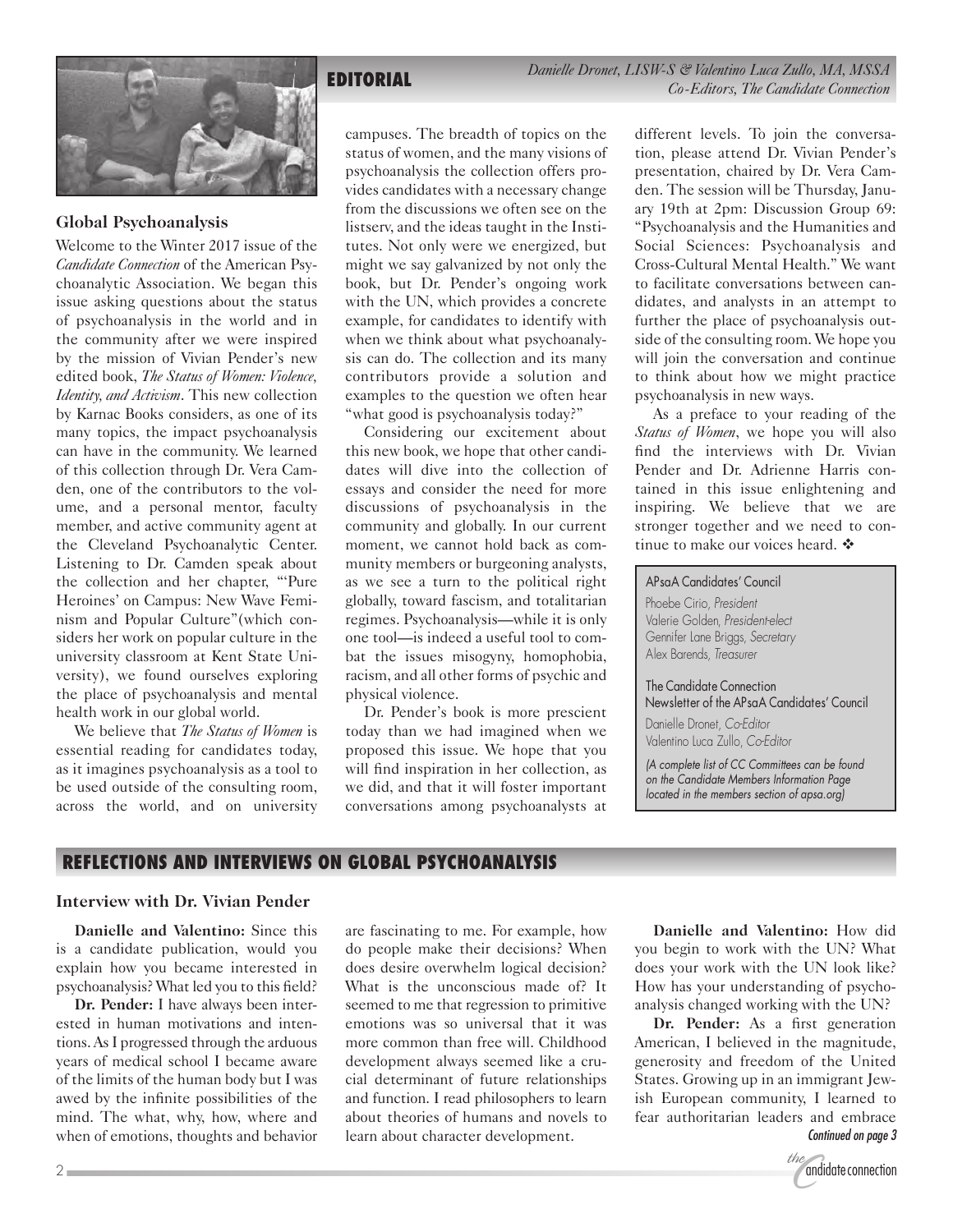**EDITORIAL** *Danielle Dronet, LISW-S & Valentino Luca Zullo, MA, MSSA Co-Editors, The Candidate Connection*



#### **Global Psychoanalysis**

Welcome to the Winter 2017 issue of the *Candidate Connection* of the American Psychoanalytic Association. We began this issue asking questions about the status of psychoanalysis in the world and in the community after we were inspired by the mission of Vivian Pender's new edited book, *The Status of Women: Violence, Identity, and Activism*. This new collection by Karnac Books considers, as one of its many topics, the impact psychoanalysis can have in the community. We learned of this collection through Dr. Vera Camden, one of the contributors to the volume, and a personal mentor, faculty member, and active community agent at the Cleveland Psychoanalytic Center. Listening to Dr. Camden speak about the collection and her chapter, "'Pure Heroines' on Campus: New Wave Feminism and Popular Culture"(which considers her work on popular culture in the university classroom at Kent State University), we found ourselves exploring the place of psychoanalysis and mental health work in our global world.

We believe that *The Status of Women* is essential reading for candidates today, as it imagines psychoanalysis as a tool to be used outside of the consulting room, across the world, and on university campuses. The breadth of topics on the status of women, and the many visions of psychoanalysis the collection offers provides candidates with a necessary change from the discussions we often see on the listserv, and the ideas taught in the Institutes. Not only were we energized, but might we say galvanized by not only the book, but Dr. Pender's ongoing work with the UN, which provides a concrete example, for candidates to identify with when we think about what psychoanalysis can do. The collection and its many contributors provide a solution and examples to the question we often hear "what good is psychoanalysis today?"

Considering our excitement about this new book, we hope that other candidates will dive into the collection of essays and consider the need for more discussions of psychoanalysis in the community and globally. In our current moment, we cannot hold back as community members or burgeoning analysts, as we see a turn to the political right globally, toward fascism, and totalitarian regimes. Psychoanalysis—while it is only one tool—is indeed a useful tool to combat the issues misogyny, homophobia, racism, and all other forms of psychic and physical violence.

Dr. Pender's book is more prescient today than we had imagined when we proposed this issue. We hope that you will find inspiration in her collection, as we did, and that it will foster important conversations among psychoanalysts at different levels. To join the conversation, please attend Dr. Vivian Pender's presentation, chaired by Dr. Vera Camden. The session will be Thursday, January 19th at 2pm: Discussion Group 69: "Psychoanalysis and the Humanities and Social Sciences: Psychoanalysis and Cross-Cultural Mental Health." We want to facilitate conversations between candidates, and analysts in an attempt to further the place of psychoanalysis outside of the consulting room. We hope you will join the conversation and continue to think about how we might practice psychoanalysis in new ways.

As a preface to your reading of the *Status of Women*, we hope you will also find the interviews with Dr. Vivian Pender and Dr. Adrienne Harris contained in this issue enlightening and inspiring. We believe that we are stronger together and we need to continue to make our voices heard.  $\clubsuit$ 

#### APsaA Candidates' Council

Phoebe Cirio, *President* Valerie Golden, *President-elect* Gennifer Lane Briggs, *Secretary* Alex Barends, *Treasurer*

The Candidate Connection Newsletter of the APsaA Candidates' Council Danielle Dronet, *Co-Editor* Valentino Luca Zullo, *Co-Editor*

*(A complete list of CC Committees can be found on the Candidate Members Information Page located in the members section of apsa.org)*

#### **REFLECTIONS AND INTERVIEWS ON GLOBAL PSYCHOANALYSIS**

#### **Interview with Dr. Vivian Pender**

**Danielle and Valentino:** Since this is a candidate publication, would you explain how you became interested in psychoanalysis? What led you to this field?

**Dr. Pender:** I have always been interested in human motivations and intentions. As I progressed through the arduous years of medical school I became aware of the limits of the human body but I was awed by the infinite possibilities of the mind. The what, why, how, where and when of emotions, thoughts and behavior

are fascinating to me. For example, how do people make their decisions? When does desire overwhelm logical decision? What is the unconscious made of? It seemed to me that regression to primitive emotions was so universal that it was more common than free will. Childhood development always seemed like a crucial determinant of future relationships and function. I read philosophers to learn about theories of humans and novels to learn about character development.

**Danielle and Valentino:** How did you begin to work with the UN? What does your work with the UN look like? How has your understanding of psychoanalysis changed working with the UN?

**Dr. Pender:** As a first generation American, I believed in the magnitude, generosity and freedom of the United States. Growing up in an immigrant Jewish European community, I learned to fear authoritarian leaders and embrace *Continued on page 3*

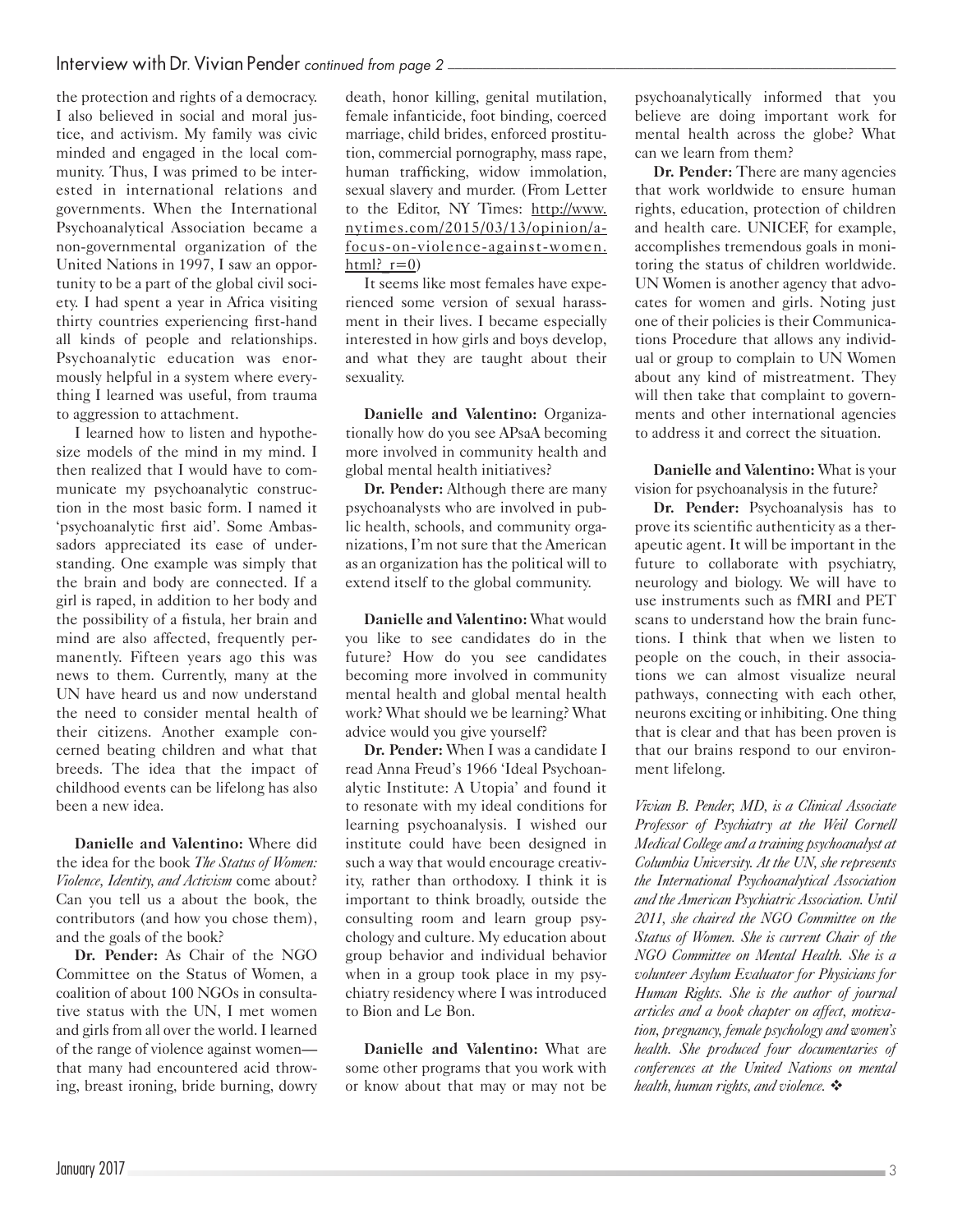the protection and rights of a democracy. I also believed in social and moral justice, and activism. My family was civic minded and engaged in the local community. Thus, I was primed to be interested in international relations and governments. When the International Psychoanalytical Association became a non-governmental organization of the United Nations in 1997, I saw an opportunity to be a part of the global civil society. I had spent a year in Africa visiting thirty countries experiencing first-hand all kinds of people and relationships. Psychoanalytic education was enormously helpful in a system where everything I learned was useful, from trauma to aggression to attachment.

I learned how to listen and hypothesize models of the mind in my mind. I then realized that I would have to communicate my psychoanalytic construction in the most basic form. I named it 'psychoanalytic first aid'. Some Ambassadors appreciated its ease of understanding. One example was simply that the brain and body are connected. If a girl is raped, in addition to her body and the possibility of a fistula, her brain and mind are also affected, frequently permanently. Fifteen years ago this was news to them. Currently, many at the UN have heard us and now understand the need to consider mental health of their citizens. Another example concerned beating children and what that breeds. The idea that the impact of childhood events can be lifelong has also been a new idea.

**Danielle and Valentino:** Where did the idea for the book *The Status of Women: Violence, Identity, and Activism* come about? Can you tell us a about the book, the contributors (and how you chose them), and the goals of the book?

**Dr. Pender:** As Chair of the NGO Committee on the Status of Women, a coalition of about 100 NGOs in consultative status with the UN, I met women and girls from all over the world. I learned of the range of violence against women that many had encountered acid throwing, breast ironing, bride burning, dowry

death, honor killing, genital mutilation, female infanticide, foot binding, coerced marriage, child brides, enforced prostitution, commercial pornography, mass rape, human trafficking, widow immolation, sexual slavery and murder. (From Letter to the Editor, NY Times: [http://www.](http://www.nytimes.com/2015/03/13/opinion/a-focus-on-violence-against-women.html?_r=0) [nytimes.com/2015/03/13/opinion/a](http://www.nytimes.com/2015/03/13/opinion/a-focus-on-violence-against-women.html?_r=0)[focus-on-violence-against-women.](http://www.nytimes.com/2015/03/13/opinion/a-focus-on-violence-against-women.html?_r=0)  $html?$   $r=0)$ 

It seems like most females have experienced some version of sexual harassment in their lives. I became especially interested in how girls and boys develop, and what they are taught about their sexuality.

**Danielle and Valentino:** Organizationally how do you see APsaA becoming more involved in community health and global mental health initiatives?

**Dr. Pender:** Although there are many psychoanalysts who are involved in public health, schools, and community organizations, I'm not sure that the American as an organization has the political will to extend itself to the global community.

**Danielle and Valentino:** What would you like to see candidates do in the future? How do you see candidates becoming more involved in community mental health and global mental health work? What should we be learning? What advice would you give yourself?

**Dr. Pender:** When I was a candidate I read Anna Freud's 1966 'Ideal Psychoanalytic Institute: A Utopia' and found it to resonate with my ideal conditions for learning psychoanalysis. I wished our institute could have been designed in such a way that would encourage creativity, rather than orthodoxy. I think it is important to think broadly, outside the consulting room and learn group psychology and culture. My education about group behavior and individual behavior when in a group took place in my psychiatry residency where I was introduced to Bion and Le Bon.

**Danielle and Valentino:** What are some other programs that you work with or know about that may or may not be psychoanalytically informed that you believe are doing important work for mental health across the globe? What can we learn from them?

**Dr. Pender:** There are many agencies that work worldwide to ensure human rights, education, protection of children and health care. UNICEF, for example, accomplishes tremendous goals in monitoring the status of children worldwide. UN Women is another agency that advocates for women and girls. Noting just one of their policies is their Communications Procedure that allows any individual or group to complain to UN Women about any kind of mistreatment. They will then take that complaint to governments and other international agencies to address it and correct the situation.

**Danielle and Valentino:** What is your vision for psychoanalysis in the future?

**Dr. Pender:** Psychoanalysis has to prove its scientific authenticity as a therapeutic agent. It will be important in the future to collaborate with psychiatry, neurology and biology. We will have to use instruments such as fMRI and PET scans to understand how the brain functions. I think that when we listen to people on the couch, in their associations we can almost visualize neural pathways, connecting with each other, neurons exciting or inhibiting. One thing that is clear and that has been proven is that our brains respond to our environment lifelong.

*Vivian B. Pender, MD, is a Clinical Associate Professor of Psychiatry at the Weil Cornell Medical College and a training psychoanalyst at Columbia University. At the UN, she represents the International Psychoanalytical Association and the American Psychiatric Association. Until 2011, she chaired the NGO Committee on the Status of Women. She is current Chair of the NGO Committee on Mental Health. She is a volunteer Asylum Evaluator for Physicians for Human Rights. She is the author of journal articles and a book chapter on affect, motivation, pregnancy, female psychology and women's health. She produced four documentaries of conferences at the United Nations on mental health, human rights, and violence.*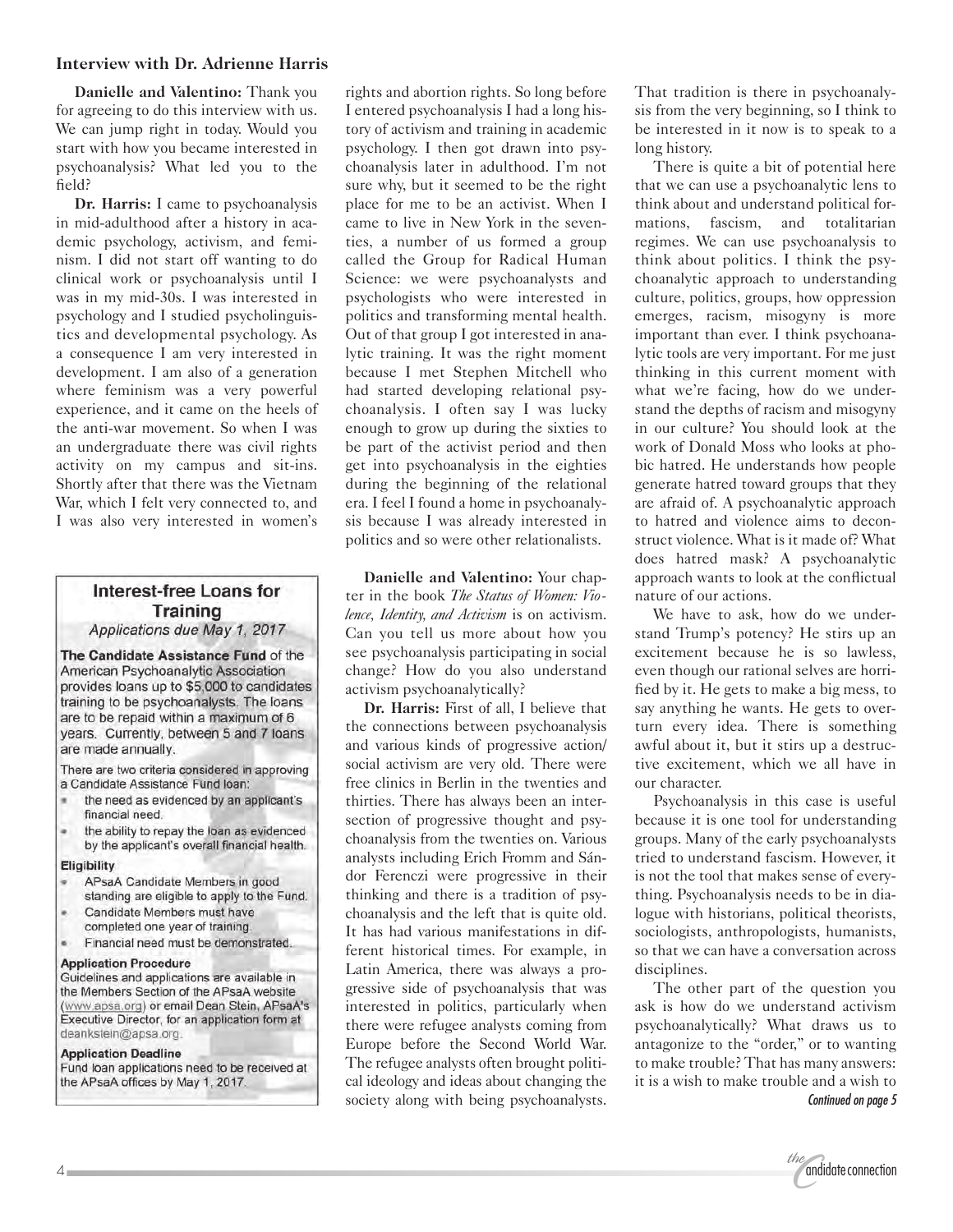#### **Interview with Dr. Adrienne Harris**

**Danielle and Valentino:** Thank you for agreeing to do this interview with us. We can jump right in today. Would you start with how you became interested in psychoanalysis? What led you to the field?

**Dr. Harris:** I came to psychoanalysis in mid-adulthood after a history in academic psychology, activism, and feminism. I did not start off wanting to do clinical work or psychoanalysis until I was in my mid-30s. I was interested in psychology and I studied psycholinguistics and developmental psychology. As a consequence I am very interested in development. I am also of a generation where feminism was a very powerful experience, and it came on the heels of the anti-war movement. So when I was an undergraduate there was civil rights activity on my campus and sit-ins. Shortly after that there was the Vietnam War, which I felt very connected to, and I was also very interested in women's

### Interest-free Loans for **Training**

Applications due May 1, 2017

The Candidate Assistance Fund of the American Psychoanalytic Association provides loans up to \$5,000 to candidates training to be psychoanalysts. The loans are to be repaid within a maximum of 6 years. Currently, between 5 and 7 loans are made annually.

There are two criteria considered in approving a Candidate Assistance Fund Ioan:

- the need as evidenced by an applicant's financial need.
- the ability to repay the loan as evidenced by the applicant's overall financial health.

#### Eligibility

- APsaA Candidate Members in good standing are eligible to apply to the Fund.
- Candidate Members must have
- completed one year of training.
- Financial need must be demonstrated.

#### **Application Procedure**

Guidelines and applications are available in the Members Section of the APsaA website (www.apsa.org) or email Dean Stein, APsaA's Executive Director, for an application form at deankstein@apsa.org.

#### **Application Deadline**

Fund loan applications need to be received at the APsaA offices by May 1, 2017.

rights and abortion rights. So long before I entered psychoanalysis I had a long history of activism and training in academic psychology. I then got drawn into psychoanalysis later in adulthood. I'm not sure why, but it seemed to be the right place for me to be an activist. When I came to live in New York in the seventies, a number of us formed a group called the Group for Radical Human Science: we were psychoanalysts and psychologists who were interested in politics and transforming mental health. Out of that group I got interested in analytic training. It was the right moment because I met Stephen Mitchell who had started developing relational psychoanalysis. I often say I was lucky enough to grow up during the sixties to be part of the activist period and then get into psychoanalysis in the eighties during the beginning of the relational era. I feel I found a home in psychoanalysis because I was already interested in politics and so were other relationalists.

**Danielle and Valentino:** Your chapter in the book *The Status of Women: Violence, Identity, and Activism* is on activism. Can you tell us more about how you see psychoanalysis participating in social change? How do you also understand activism psychoanalytically?

**Dr. Harris:** First of all, I believe that the connections between psychoanalysis and various kinds of progressive action/ social activism are very old. There were free clinics in Berlin in the twenties and thirties. There has always been an intersection of progressive thought and psychoanalysis from the twenties on. Various analysts including Erich Fromm and Sándor Ferenczi were progressive in their thinking and there is a tradition of psychoanalysis and the left that is quite old. It has had various manifestations in different historical times. For example, in Latin America, there was always a progressive side of psychoanalysis that was interested in politics, particularly when there were refugee analysts coming from Europe before the Second World War. The refugee analysts often brought political ideology and ideas about changing the society along with being psychoanalysts. That tradition is there in psychoanalysis from the very beginning, so I think to be interested in it now is to speak to a long history.

There is quite a bit of potential here that we can use a psychoanalytic lens to think about and understand political formations, fascism, and totalitarian regimes. We can use psychoanalysis to think about politics. I think the psychoanalytic approach to understanding culture, politics, groups, how oppression emerges, racism, misogyny is more important than ever. I think psychoanalytic tools are very important. For me just thinking in this current moment with what we're facing, how do we understand the depths of racism and misogyny in our culture? You should look at the work of Donald Moss who looks at phobic hatred. He understands how people generate hatred toward groups that they are afraid of. A psychoanalytic approach to hatred and violence aims to deconstruct violence. What is it made of? What does hatred mask? A psychoanalytic approach wants to look at the conflictual nature of our actions.

We have to ask, how do we understand Trump's potency? He stirs up an excitement because he is so lawless, even though our rational selves are horrified by it. He gets to make a big mess, to say anything he wants. He gets to overturn every idea. There is something awful about it, but it stirs up a destructive excitement, which we all have in our character.

Psychoanalysis in this case is useful because it is one tool for understanding groups. Many of the early psychoanalysts tried to understand fascism. However, it is not the tool that makes sense of everything. Psychoanalysis needs to be in dialogue with historians, political theorists, sociologists, anthropologists, humanists, so that we can have a conversation across disciplines.

The other part of the question you ask is how do we understand activism psychoanalytically? What draws us to antagonize to the "order," or to wanting to make trouble? That has many answers: it is a wish to make trouble and a wish to *Continued on page 5*

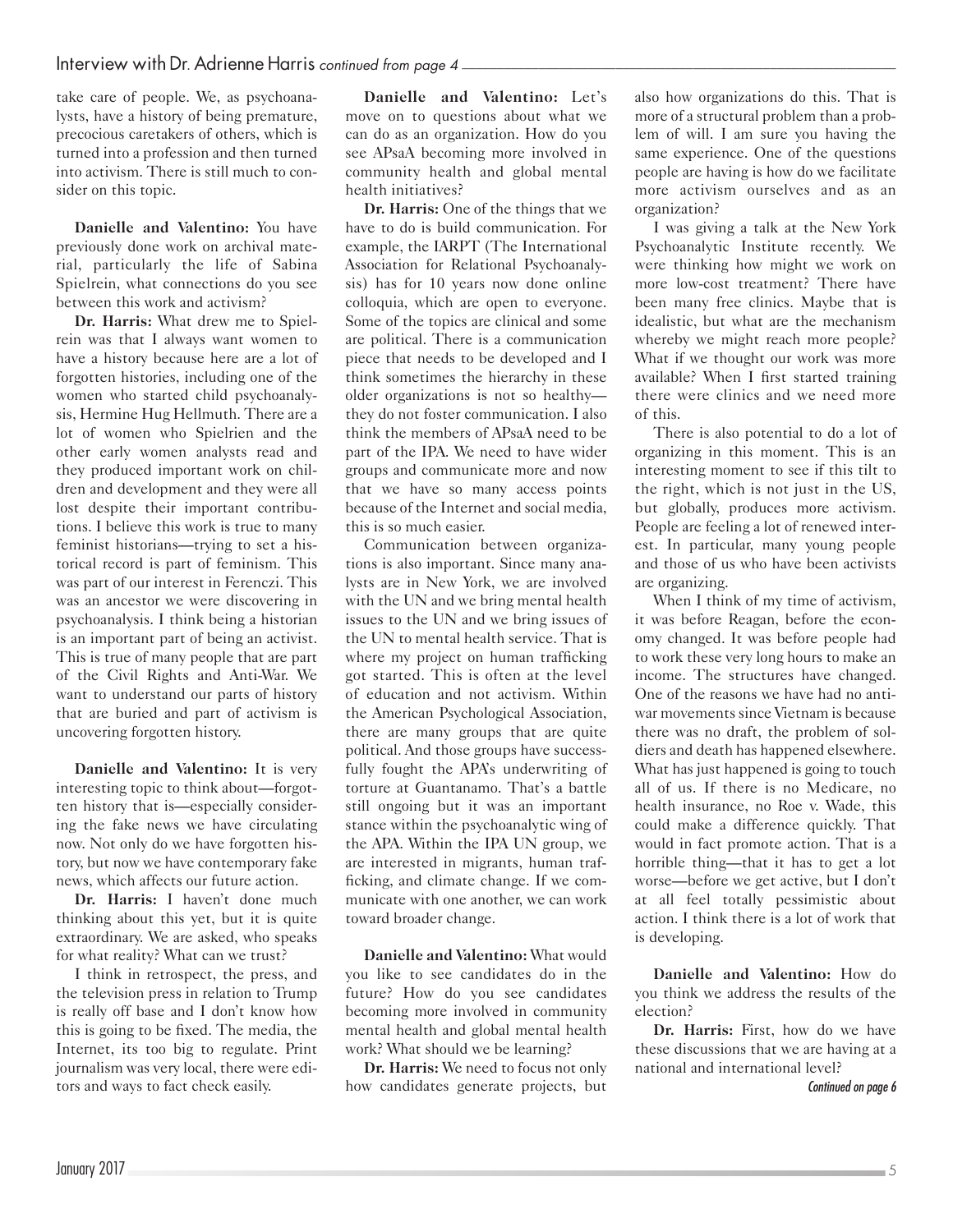take care of people. We, as psychoanalysts, have a history of being premature, precocious caretakers of others, which is turned into a profession and then turned into activism. There is still much to consider on this topic.

**Danielle and Valentino:** You have previously done work on archival material, particularly the life of Sabina Spielrein, what connections do you see between this work and activism?

**Dr. Harris:** What drew me to Spielrein was that I always want women to have a history because here are a lot of forgotten histories, including one of the women who started child psychoanalysis, Hermine Hug Hellmuth. There are a lot of women who Spielrien and the other early women analysts read and they produced important work on children and development and they were all lost despite their important contributions. I believe this work is true to many feminist historians—trying to set a historical record is part of feminism. This was part of our interest in Ferenczi. This was an ancestor we were discovering in psychoanalysis. I think being a historian is an important part of being an activist. This is true of many people that are part of the Civil Rights and Anti-War. We want to understand our parts of history that are buried and part of activism is uncovering forgotten history.

**Danielle and Valentino:** It is very interesting topic to think about—forgotten history that is—especially considering the fake news we have circulating now. Not only do we have forgotten history, but now we have contemporary fake news, which affects our future action.

**Dr. Harris:** I haven't done much thinking about this yet, but it is quite extraordinary. We are asked, who speaks for what reality? What can we trust?

I think in retrospect, the press, and the television press in relation to Trump is really off base and I don't know how this is going to be fixed. The media, the Internet, its too big to regulate. Print journalism was very local, there were editors and ways to fact check easily.

**Danielle and Valentino:** Let's move on to questions about what we can do as an organization. How do you see APsaA becoming more involved in community health and global mental health initiatives?

**Dr. Harris:** One of the things that we have to do is build communication. For example, the IARPT (The International Association for Relational Psychoanalysis) has for 10 years now done online colloquia, which are open to everyone. Some of the topics are clinical and some are political. There is a communication piece that needs to be developed and I think sometimes the hierarchy in these older organizations is not so healthy they do not foster communication. I also think the members of APsaA need to be part of the IPA. We need to have wider groups and communicate more and now that we have so many access points because of the Internet and social media, this is so much easier.

Communication between organizations is also important. Since many analysts are in New York, we are involved with the UN and we bring mental health issues to the UN and we bring issues of the UN to mental health service. That is where my project on human trafficking got started. This is often at the level of education and not activism. Within the American Psychological Association, there are many groups that are quite political. And those groups have successfully fought the APA's underwriting of torture at Guantanamo. That's a battle still ongoing but it was an important stance within the psychoanalytic wing of the APA. Within the IPA UN group, we are interested in migrants, human trafficking, and climate change. If we communicate with one another, we can work toward broader change.

**Danielle and Valentino:** What would you like to see candidates do in the future? How do you see candidates becoming more involved in community mental health and global mental health work? What should we be learning?

**Dr. Harris:** We need to focus not only how candidates generate projects, but also how organizations do this. That is more of a structural problem than a problem of will. I am sure you having the same experience. One of the questions people are having is how do we facilitate more activism ourselves and as an organization?

I was giving a talk at the New York Psychoanalytic Institute recently. We were thinking how might we work on more low-cost treatment? There have been many free clinics. Maybe that is idealistic, but what are the mechanism whereby we might reach more people? What if we thought our work was more available? When I first started training there were clinics and we need more of this.

There is also potential to do a lot of organizing in this moment. This is an interesting moment to see if this tilt to the right, which is not just in the US, but globally, produces more activism. People are feeling a lot of renewed interest. In particular, many young people and those of us who have been activists are organizing.

When I think of my time of activism, it was before Reagan, before the economy changed. It was before people had to work these very long hours to make an income. The structures have changed. One of the reasons we have had no antiwar movements since Vietnam is because there was no draft, the problem of soldiers and death has happened elsewhere. What has just happened is going to touch all of us. If there is no Medicare, no health insurance, no Roe v. Wade, this could make a difference quickly. That would in fact promote action. That is a horrible thing—that it has to get a lot worse—before we get active, but I don't at all feel totally pessimistic about action. I think there is a lot of work that is developing.

**Danielle and Valentino:** How do you think we address the results of the election?

**Dr. Harris:** First, how do we have these discussions that we are having at a national and international level?

*Continued on page 6*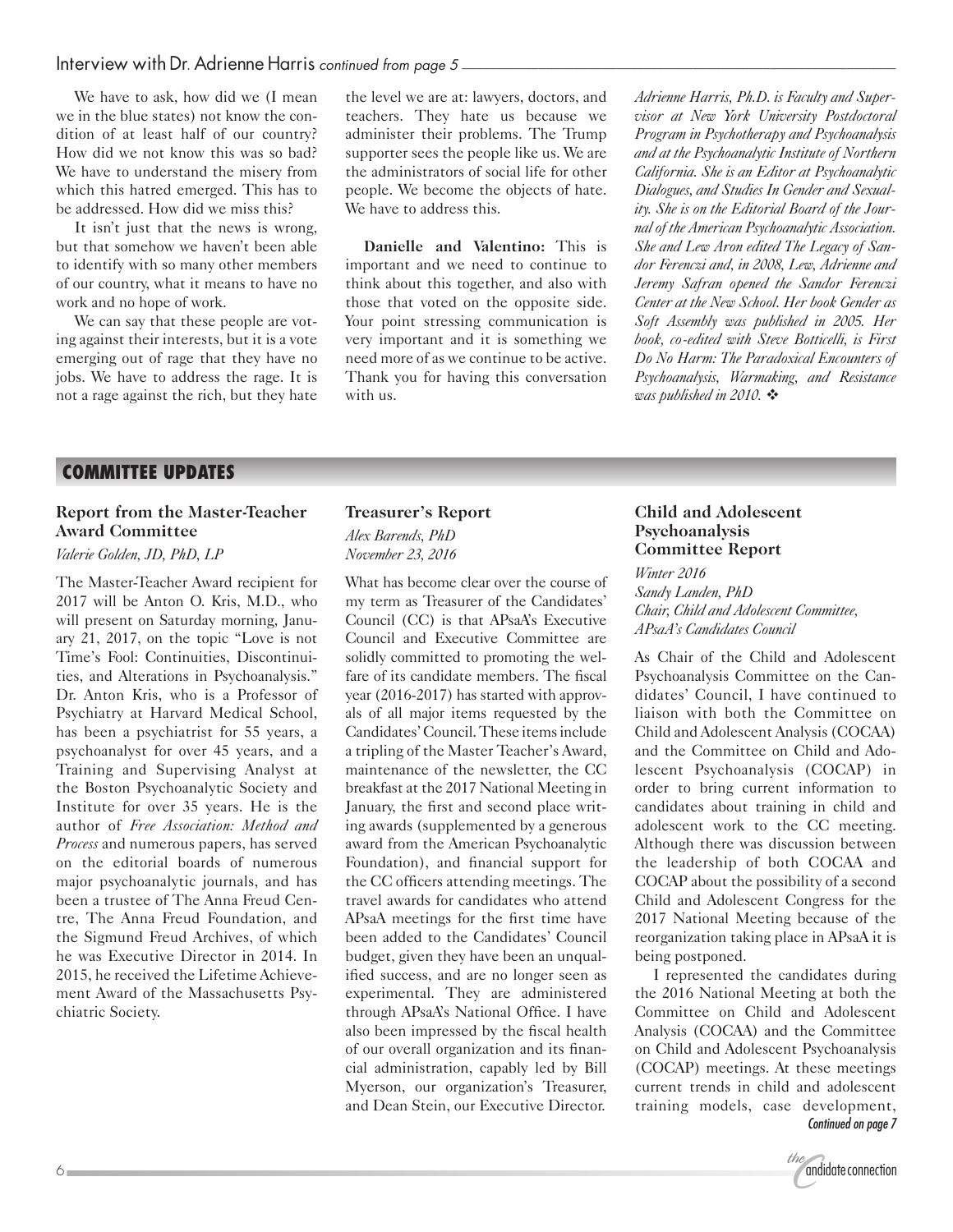#### Interview with Dr. Adrienne Harris *continued from page 5 \_\_\_\_\_\_\_\_\_\_\_\_\_\_\_\_\_\_\_\_\_\_\_\_\_\_\_\_\_\_\_\_\_\_\_\_\_\_\_\_\_\_\_\_\_\_\_\_\_\_\_\_\_\_\_\_\_\_\_\_\_\_*

We have to ask, how did we (I mean we in the blue states) not know the condition of at least half of our country? How did we not know this was so bad? We have to understand the misery from which this hatred emerged. This has to be addressed. How did we miss this?

It isn't just that the news is wrong, but that somehow we haven't been able to identify with so many other members of our country, what it means to have no work and no hope of work.

We can say that these people are voting against their interests, but it is a vote emerging out of rage that they have no jobs. We have to address the rage. It is not a rage against the rich, but they hate the level we are at: lawyers, doctors, and teachers. They hate us because we administer their problems. The Trump supporter sees the people like us. We are the administrators of social life for other people. We become the objects of hate. We have to address this.

**Danielle and Valentino:** This is important and we need to continue to think about this together, and also with those that voted on the opposite side. Your point stressing communication is very important and it is something we need more of as we continue to be active. Thank you for having this conversation with us.

*Adrienne Harris, Ph.D. is Faculty and Supervisor at New York University Postdoctoral Program in Psychotherapy and Psychoanalysis and at the Psychoanalytic Institute of Northern California. She is an Editor at Psychoanalytic Dialogues, and Studies In Gender and Sexuality. She is on the Editorial Board of the Journal of the American Psychoanalytic Association. She and Lew Aron edited The Legacy of Sandor Ferenczi and, in 2008, Lew, Adrienne and Jeremy Safran opened the Sandor Ferenczi Center at the New School. Her book Gender as Soft Assembly was published in 2005. Her book, co-edited with Steve Botticelli, is First Do No Harm: The Paradoxical Encounters of Psychoanalysis, Warmaking, and Resistance was published in 2010.*  $\ddot{\cdot}$ 

#### **COMMITTEE UPDATES**

#### **Report from the Master-Teacher Award Committee**

*Valerie Golden, JD, PhD, LP*

The Master-Teacher Award recipient for 2017 will be Anton O. Kris, M.D., who will present on Saturday morning, January 21, 2017, on the topic "Love is not Time's Fool: Continuities, Discontinuities, and Alterations in Psychoanalysis." Dr. Anton Kris, who is a Professor of Psychiatry at Harvard Medical School, has been a psychiatrist for 55 years, a psychoanalyst for over 45 years, and a Training and Supervising Analyst at the Boston Psychoanalytic Society and Institute for over 35 years. He is the author of *Free Association: Method and Process* and numerous papers, has served on the editorial boards of numerous major psychoanalytic journals, and has been a trustee of The Anna Freud Centre, The Anna Freud Foundation, and the Sigmund Freud Archives, of which he was Executive Director in 2014. In 2015, he received the Lifetime Achievement Award of the Massachusetts Psychiatric Society.

### **Treasurer's Report**

*Alex Barends, PhD November 23, 2016*

What has become clear over the course of my term as Treasurer of the Candidates' Council (CC) is that APsaA's Executive Council and Executive Committee are solidly committed to promoting the welfare of its candidate members. The fiscal year (2016-2017) has started with approvals of all major items requested by the Candidates' Council. These items include a tripling of the Master Teacher's Award, maintenance of the newsletter, the CC breakfast at the 2017 National Meeting in January, the first and second place writing awards (supplemented by a generous award from the American Psychoanalytic Foundation), and financial support for the CC officers attending meetings. The travel awards for candidates who attend APsaA meetings for the first time have been added to the Candidates' Council budget, given they have been an unqualified success, and are no longer seen as experimental. They are administered through APsaA's National Office. I have also been impressed by the fiscal health of our overall organization and its financial administration, capably led by Bill Myerson, our organization's Treasurer, and Dean Stein, our Executive Director.

#### **Child and Adolescent Psychoanalysis Committee Report**

*Winter 2016 Sandy Landen, PhD Chair, Child and Adolescent Committee, APsaA's Candidates Council*

As Chair of the Child and Adolescent Psychoanalysis Committee on the Candidates' Council, I have continued to liaison with both the Committee on Child and Adolescent Analysis (COCAA) and the Committee on Child and Adolescent Psychoanalysis (COCAP) in order to bring current information to candidates about training in child and adolescent work to the CC meeting. Although there was discussion between the leadership of both COCAA and COCAP about the possibility of a second Child and Adolescent Congress for the 2017 National Meeting because of the reorganization taking place in APsaA it is being postponed.

I represented the candidates during the 2016 National Meeting at both the Committee on Child and Adolescent Analysis (COCAA) and the Committee on Child and Adolescent Psychoanalysis (COCAP) meetings. At these meetings current trends in child and adolescent training models, case development, *Continued on page 7*

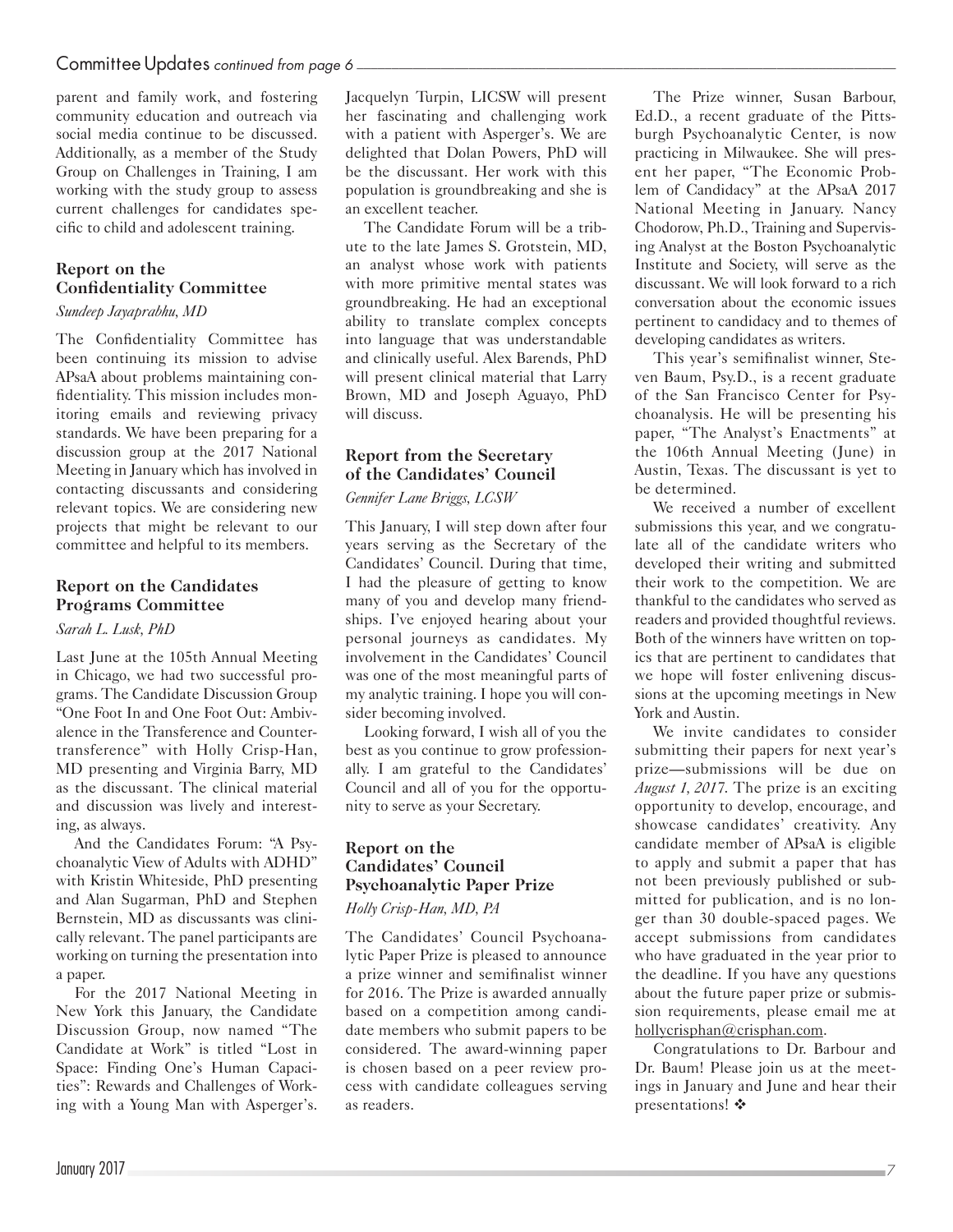#### Committee Updates *continued from page 6*

parent and family work, and fostering community education and outreach via social media continue to be discussed. Additionally, as a member of the Study Group on Challenges in Training, I am working with the study group to assess current challenges for candidates specific to child and adolescent training.

#### **Report on the Confidentiality Committee**

#### *Sundeep Jayaprabhu, MD*

The Confidentiality Committee has been continuing its mission to advise APsaA about problems maintaining confidentiality. This mission includes monitoring emails and reviewing privacy standards. We have been preparing for a discussion group at the 2017 National Meeting in January which has involved in contacting discussants and considering relevant topics. We are considering new projects that might be relevant to our committee and helpful to its members.

#### **Report on the Candidates Programs Committee**

#### *Sarah L. Lusk, PhD*

Last June at the 105th Annual Meeting in Chicago, we had two successful programs. The Candidate Discussion Group "One Foot In and One Foot Out: Ambivalence in the Transference and Countertransference" with Holly Crisp-Han, MD presenting and Virginia Barry, MD as the discussant. The clinical material and discussion was lively and interesting, as always.

And the Candidates Forum: "A Psychoanalytic View of Adults with ADHD" with Kristin Whiteside, PhD presenting and Alan Sugarman, PhD and Stephen Bernstein, MD as discussants was clinically relevant. The panel participants are working on turning the presentation into a paper.

For the 2017 National Meeting in New York this January, the Candidate Discussion Group, now named "The Candidate at Work" is titled "Lost in Space: Finding One's Human Capacities": Rewards and Challenges of Working with a Young Man with Asperger's.

Jacquelyn Turpin, LICSW will present her fascinating and challenging work with a patient with Asperger's. We are delighted that Dolan Powers, PhD will be the discussant. Her work with this population is groundbreaking and she is an excellent teacher.

The Candidate Forum will be a tribute to the late James S. Grotstein, MD, an analyst whose work with patients with more primitive mental states was groundbreaking. He had an exceptional ability to translate complex concepts into language that was understandable and clinically useful. Alex Barends, PhD will present clinical material that Larry Brown, MD and Joseph Aguayo, PhD will discuss.

#### **Report from the Secretary of the Candidates' Council**

#### *Gennifer Lane Briggs, LCSW*

This January, I will step down after four years serving as the Secretary of the Candidates' Council. During that time, I had the pleasure of getting to know many of you and develop many friendships. I've enjoyed hearing about your personal journeys as candidates. My involvement in the Candidates' Council was one of the most meaningful parts of my analytic training. I hope you will consider becoming involved.

Looking forward, I wish all of you the best as you continue to grow professionally. I am grateful to the Candidates' Council and all of you for the opportunity to serve as your Secretary.

### **Report on the Candidates' Council Psychoanalytic Paper Prize**

*Holly Crisp-Han, MD, PA*

The Candidates' Council Psychoanalytic Paper Prize is pleased to announce a prize winner and semifinalist winner for 2016. The Prize is awarded annually based on a competition among candidate members who submit papers to be considered. The award-winning paper is chosen based on a peer review process with candidate colleagues serving as readers.

The Prize winner, Susan Barbour, Ed.D., a recent graduate of the Pittsburgh Psychoanalytic Center, is now practicing in Milwaukee. She will present her paper, "The Economic Problem of Candidacy" at the APsaA 2017 National Meeting in January. Nancy Chodorow, Ph.D., Training and Supervising Analyst at the Boston Psychoanalytic Institute and Society, will serve as the discussant. We will look forward to a rich conversation about the economic issues pertinent to candidacy and to themes of developing candidates as writers.

This year's semifinalist winner, Steven Baum, Psy.D., is a recent graduate of the San Francisco Center for Psychoanalysis. He will be presenting his paper, "The Analyst's Enactments" at the 106th Annual Meeting (June) in Austin, Texas. The discussant is yet to be determined.

We received a number of excellent submissions this year, and we congratulate all of the candidate writers who developed their writing and submitted their work to the competition. We are thankful to the candidates who served as readers and provided thoughtful reviews. Both of the winners have written on topics that are pertinent to candidates that we hope will foster enlivening discussions at the upcoming meetings in New York and Austin.

We invite candidates to consider submitting their papers for next year's prize—submissions will be due on *August 1, 2017*. The prize is an exciting opportunity to develop, encourage, and showcase candidates' creativity. Any candidate member of APsaA is eligible to apply and submit a paper that has not been previously published or submitted for publication, and is no longer than 30 double-spaced pages. We accept submissions from candidates who have graduated in the year prior to the deadline. If you have any questions about the future paper prize or submission requirements, please email me at [hollycrisphan@crisphan.com](mailto:hollycrisphan@crisphan.com).

Congratulations to Dr. Barbour and Dr. Baum! Please join us at the meetings in January and June and hear their presentations!  $\mathbf{\hat{*}}$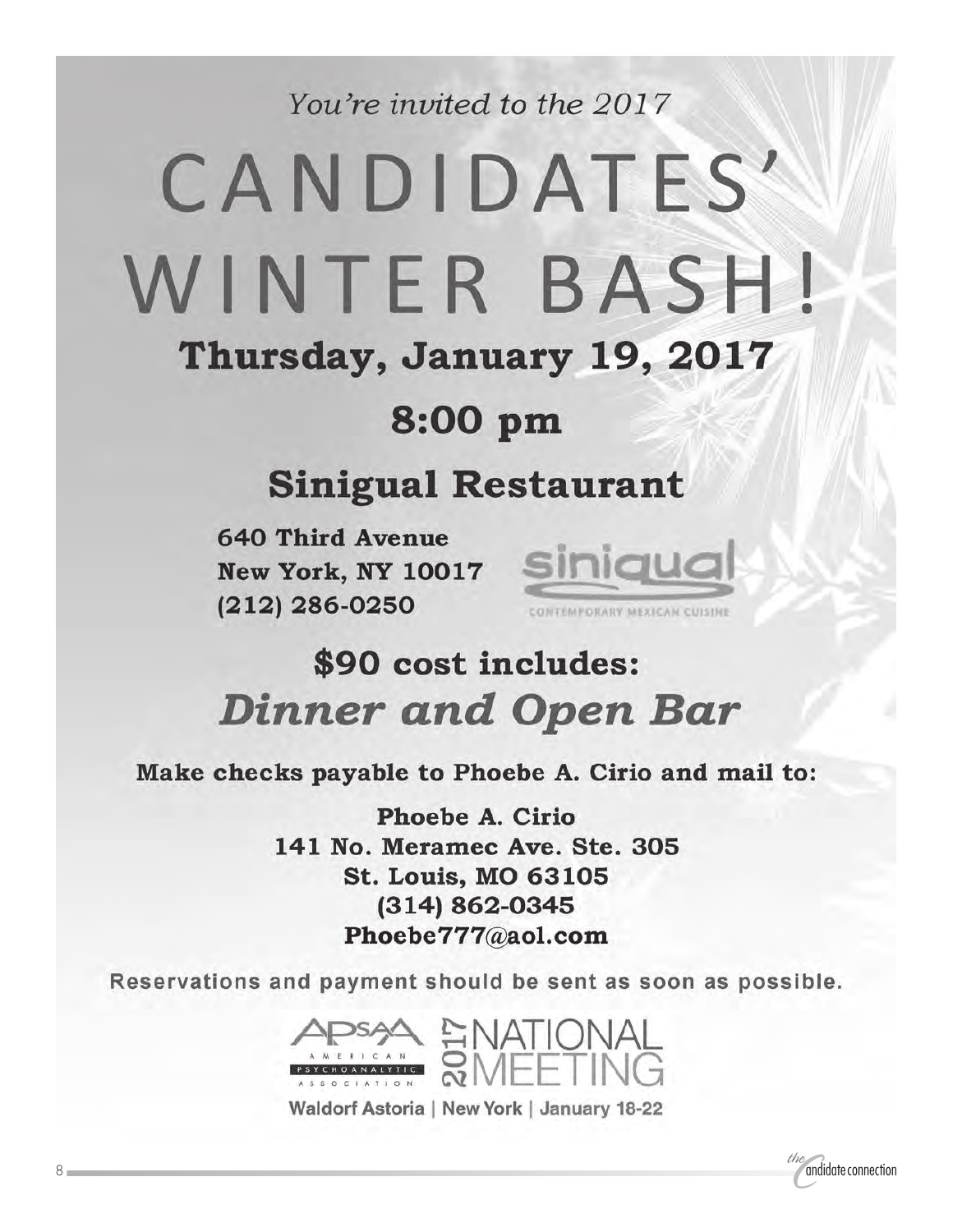You're invited to the 2017

# CANDIDATES' WINTER BASH! Thursday, January 19, 2017

### 8:00 pm

### **Sinigual Restaurant**

**640 Third Avenue** New York, NY 10017 Siniqual  $(212)$  286-0250



## \$90 cost includes: **Dinner and Open Bar**

Make checks payable to Phoebe A. Cirio and mail to:

**Phoebe A. Cirio** 141 No. Meramec Ave. Ste. 305 **St. Louis, MO 63105** (314) 862-0345 Phoebe777@aol.com

Reservations and payment should be sent as soon as possible.



Waldorf Astoria | New York | January 18-22